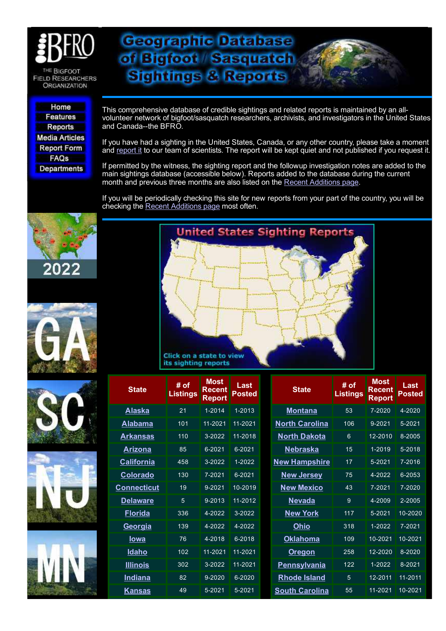

THE BIGFOOT **FIELD RESEARCHERS ORGANIZATION** 

Home **Features Reports Media Articles Report Form** FAQs **Departments**  This comprehensive database of credible sightings and related reports is maintained by an allvolunteer network of bigfoot/sasquatch researchers, archivists, and investigators in the United States and Canada--the BFRO.

**Geographic Database** 

of Bigfoot Sasquatch

**Sightings & Reports** 

If you have had a sighting in the United States, Canada, or any other country, please take a moment and [report](http://www.bfro.net/GDB/submitfm.asp) it to our team of scientists. The report will be kept quiet and not published if you request it.

If permitted by the witness, the sighting report and the followup investigation notes are added to the main sightings database (accessible below). Reports added to the database during the current month and previous three months are also listed on the Recent [Additions](http://www.bfro.net/GDB/newadd.asp) page.

If you will be periodically checking this site for new reports from your part of the country, you will be checking the Recent [Additions](http://www.bfro.net/GDB/newadd.asp) page most often.













| <b>State</b>       | # of<br><b>Listings</b> | <b>Most</b><br><b>Recent</b><br><b>Report</b> | <b>Last</b><br>Posted | <b>State</b>          | # of<br><b>Listings</b> | <b>Most</b><br><b>Recent</b><br>Report | Last<br><b>Posted</b> |
|--------------------|-------------------------|-----------------------------------------------|-----------------------|-----------------------|-------------------------|----------------------------------------|-----------------------|
| <u>Alaska</u>      | 21                      | 1-2014                                        | 1-2013                | <b>Montana</b>        | 53                      | 7-2020                                 | 4-2020                |
| <b>Alabama</b>     | 101                     | 11-2021                                       | 11-2021               | <b>North Carolina</b> | 106                     | 9-2021                                 | 5-2021                |
| <u>Arkansas</u>    | 110                     | 3-2022                                        | 11-2018               | <b>North Dakota</b>   | 6                       | 12-2010                                | 8-2005                |
| <b>Arizona</b>     | 85                      | 6-2021                                        | 6-2021                | <u>Nebraska</u>       | 15                      | 1-2019                                 | $5 - 2018$            |
| <b>California</b>  | 458                     | 3-2022                                        | 1-2022                | <b>New Hampshire</b>  | 17                      | $5 - 2021$                             | 7-2016                |
| <b>Colorado</b>    | 130                     | 7-2021                                        | 6-2021                | <b>New Jersey</b>     | 75                      | 4-2022                                 | 6-2053                |
| <u>Connecticut</u> | 19                      | $9 - 2021$                                    | 10-2019               | <b>New Mexico</b>     | 43                      | 7-2021                                 | 7-2020                |
| <b>Delaware</b>    | 5                       | 9-2013                                        | 11-2012               | <b>Nevada</b>         | 9                       | 4-2009                                 | 2-2005                |
| <b>Florida</b>     | 336                     | 4-2022                                        | 3-2022                | <b>New York</b>       | 117                     | 5-2021                                 | 10-2020               |
| Georgia            | 139                     | 4-2022                                        | 4-2022                | <b>Ohio</b>           | 318                     | 1-2022                                 | 7-2021                |
| <u>lowa</u>        | 76                      | 4-2018                                        | 6-2018                | <b>Oklahoma</b>       | 109                     | 10-2021                                | 10-2021               |
| <b>Idaho</b>       | 102                     | 11-2021                                       | 11-2021               | <b>Oregon</b>         | 258                     | 12-2020                                | 8-2020                |
| <b>Illinois</b>    | 302                     | 3-2022                                        | 11-2021               | <b>Pennsylvania</b>   | 122                     | 1-2022                                 | 8-2021                |
| <b>Indiana</b>     | 82                      | 9-2020                                        | 6-2020                | <b>Rhode Island</b>   | 5                       | 12-2011                                | 11-2011               |
| <u>Kansas</u>      | 49                      | $5 - 2021$                                    | 5-2021                | <b>South Carolina</b> | 55                      | 11-2021                                | 10-2021               |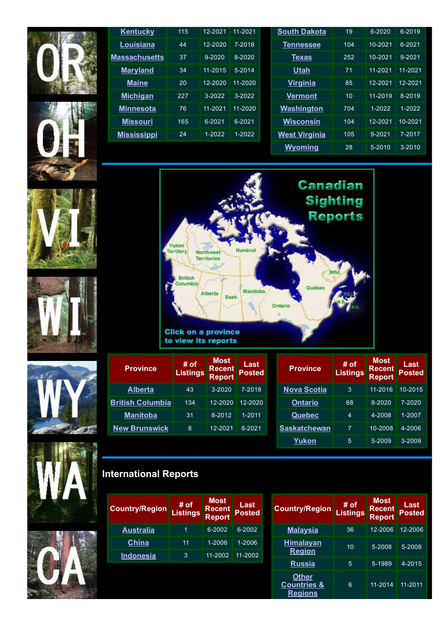



| <b>Kentucky</b>      | 115 | 12-2021     | 11-2021     | <b>South Dakota</b>  | 19  | 6-2020  | 6-2019      |
|----------------------|-----|-------------|-------------|----------------------|-----|---------|-------------|
| Louisiana            | 44  | 12-2020     | 7-2018      | <b>Tennessee</b>     | 104 | 10-2021 | $6 - 2021$  |
| <b>Massachusetts</b> | 37  | $9 - 2020$  | 8-2020      | <b>Texas</b>         | 252 | 10-2021 | $9 - 2021$  |
| <b>Maryland</b>      | 34  | 11-2015     | 5-2014      | <u>Utah</u>          | 71  | 11-2021 | $11 - 2021$ |
| <b>Maine</b>         | 20  | $12 - 2020$ | $11 - 2020$ | <b>Virginia</b>      | 85  | 12-2021 | $12 - 2021$ |
| <b>Michigan</b>      | 227 | $3-2022$    | $3-2022$    | <b>Vermont</b>       | 10  | 11-2019 | 8-2019      |
| <b>Minnesota</b>     | 76  | 11-2021     | 11-2020     | Washington           | 704 | 1-2022  | 1-2022      |
| <b>Missouri</b>      | 165 | 6-2021      | 6-2021      | <b>Wisconsin</b>     | 104 | 12-2021 | 10-2021     |
| <b>Mississippi</b>   | 24  | 1-2022      | $1 - 2022$  | <b>West Virginia</b> | 105 | 9-2021  | 7-2017      |
|                      |     |             |             | Wyoming              | 28  | 5-2010  | $3 - 2010$  |



| <b>Province</b>         | # of<br><b>Listings</b> | <b>Most</b><br><b>Recent</b><br><b>Report</b> | Last<br><b>Posted</b> | <b>Province</b>     | # of<br><b>Listings</b> | <b>Most</b><br><b>Recent</b><br><b>Report</b> | Last<br><b>Posted</b> |
|-------------------------|-------------------------|-----------------------------------------------|-----------------------|---------------------|-------------------------|-----------------------------------------------|-----------------------|
| <b>Alberta</b>          | 43                      | $3 - 2020$                                    | 7-2018                | <b>Nova Scotia</b>  | 3                       | 11-2016                                       | 10-2015               |
| <b>British Columbia</b> | 134                     | 12-2020                                       | $12 - 2020$           | Ontario             | 68                      | 8-2020                                        | 7-2020                |
| <b>Manitoba</b>         | 31                      | 8-2012                                        | 1-2011                | <b>Quebec</b>       | 4                       | 4-2008                                        | 1-2007                |
| <b>New Brunswick</b>    | 8                       | 12-2021                                       | 8-2021                | <b>Saskatchewan</b> | 7                       | 10-2008                                       | 4-2006                |
|                         |                         |                                               |                       | Yukon               | 5                       | 5-2009                                        | 3-2009                |





| <b>International Reports</b> |
|------------------------------|
|------------------------------|

| <b>Country/Region</b> | # of<br><b>Listings</b> | <b>Most</b><br><b>Recent</b><br><b>Report</b> | Last<br><b>Posted</b> | <b>Country/Region</b>                                    | # of<br><b>Listings</b> | <b>Most</b><br><b>Recent</b><br><b>Report</b> | Last<br><b>Posted</b> |
|-----------------------|-------------------------|-----------------------------------------------|-----------------------|----------------------------------------------------------|-------------------------|-----------------------------------------------|-----------------------|
| <u>Australia</u>      | 1                       | 6-2002                                        | 6-2002                | <b>Malaysia</b>                                          | 36                      | 12-2006                                       | 12-2006               |
| <b>China</b>          | 11                      | 1-2006                                        | 1-2006                | <b>Himalayan</b>                                         | 10                      | 5-2008                                        | 5-2008                |
| Indonesia             | 3                       | 11-2002                                       | 11-2002               | <b>Region</b>                                            |                         |                                               |                       |
|                       |                         |                                               |                       | <b>Russia</b>                                            | 5                       | 5-1989                                        | 4-2015                |
|                       |                         |                                               |                       | <b>Other</b><br><b>Countries &amp;</b><br><b>Regions</b> | 6                       | 11-2014                                       | 11-2011               |